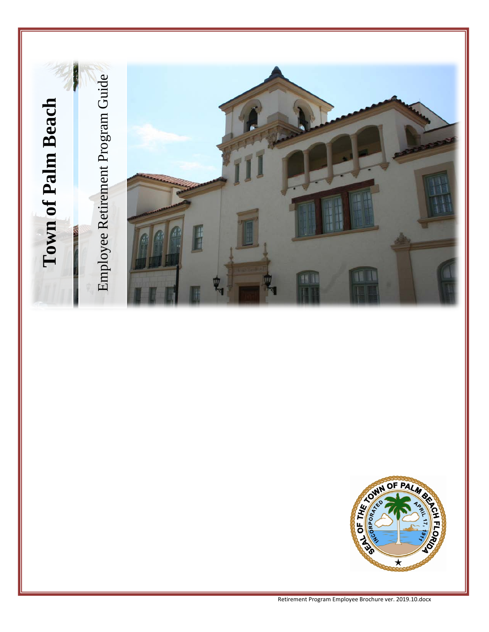



descriptions\retirement program employee brochure ver. 2019.10.docx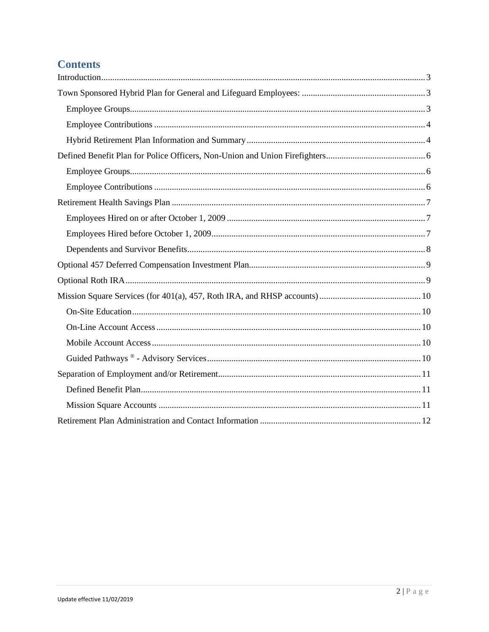# **Contents**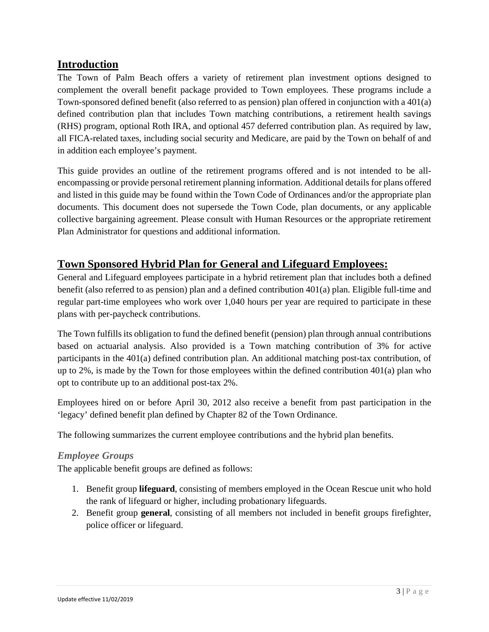# <span id="page-2-0"></span>**Introduction**

The Town of Palm Beach offers a variety of retirement plan investment options designed to complement the overall benefit package provided to Town employees. These programs include a Town-sponsored defined benefit (also referred to as pension) plan offered in conjunction with a 401(a) defined contribution plan that includes Town matching contributions, a retirement health savings (RHS) program, optional Roth IRA, and optional 457 deferred contribution plan. As required by law, all FICA-related taxes, including social security and Medicare, are paid by the Town on behalf of and in addition each employee's payment.

This guide provides an outline of the retirement programs offered and is not intended to be allencompassing or provide personal retirement planning information. Additional details for plans offered and listed in this guide may be found within the Town Code of Ordinances and/or the appropriate plan documents. This document does not supersede the Town Code, plan documents, or any applicable collective bargaining agreement. Please consult with Human Resources or the appropriate retirement Plan Administrator for questions and additional information.

# <span id="page-2-1"></span>**Town Sponsored Hybrid Plan for General and Lifeguard Employees:**

General and Lifeguard employees participate in a hybrid retirement plan that includes both a defined benefit (also referred to as pension) plan and a defined contribution 401(a) plan. Eligible full-time and regular part-time employees who work over 1,040 hours per year are required to participate in these plans with per-paycheck contributions.

The Town fulfills its obligation to fund the defined benefit (pension) plan through annual contributions based on actuarial analysis. Also provided is a Town matching contribution of 3% for active participants in the 401(a) defined contribution plan. An additional matching post-tax contribution, of up to  $2\%$ , is made by the Town for those employees within the defined contribution  $401(a)$  plan who opt to contribute up to an additional post-tax 2%.

Employees hired on or before April 30, 2012 also receive a benefit from past participation in the 'legacy' defined benefit plan defined by Chapter 82 of the Town Ordinance.

The following summarizes the current employee contributions and the hybrid plan benefits.

## <span id="page-2-2"></span>*Employee Groups*

The applicable benefit groups are defined as follows:

- 1. Benefit group **lifeguard**, consisting of members employed in the Ocean Rescue unit who hold the rank of lifeguard or higher, including probationary lifeguards.
- 2. Benefit group **general**, consisting of all members not included in benefit groups firefighter, police officer or lifeguard.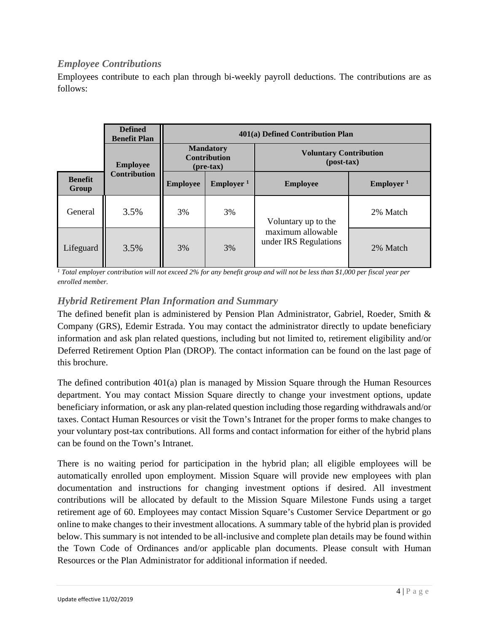## <span id="page-3-0"></span>*Employee Contributions*

Employees contribute to each plan through bi-weekly payroll deductions. The contributions are as follows:

|                         | <b>Defined</b><br><b>Benefit Plan</b> | 401(a) Defined Contribution Plan                     |                              |                                               |                              |
|-------------------------|---------------------------------------|------------------------------------------------------|------------------------------|-----------------------------------------------|------------------------------|
|                         | <b>Employee</b>                       | <b>Mandatory</b><br><b>Contribution</b><br>(pre-tax) |                              | <b>Voluntary Contribution</b><br>$(post-tax)$ |                              |
| <b>Benefit</b><br>Group | <b>Contribution</b>                   | <b>Employee</b>                                      | <b>Employer</b> <sup>1</sup> | <b>Employee</b>                               | <b>Employer</b> <sup>1</sup> |
| General                 | 3.5%                                  | 3%                                                   | 3%                           | Voluntary up to the                           | 2% Match                     |
| Lifeguard               | 3.5%                                  | 3%                                                   | 3%                           | maximum allowable<br>under IRS Regulations    | 2% Match                     |

*<sup>1</sup> Total employer contribution will not exceed 2% for any benefit group and will not be less than \$1,000 per fiscal year per enrolled member.*

## <span id="page-3-1"></span>*Hybrid Retirement Plan Information and Summary*

The defined benefit plan is administered by Pension Plan Administrator, Gabriel, Roeder, Smith & Company (GRS), Edemir Estrada. You may contact the administrator directly to update beneficiary information and ask plan related questions, including but not limited to, retirement eligibility and/or Deferred Retirement Option Plan (DROP). The contact information can be found on the last page of this brochure.

The defined contribution 401(a) plan is managed by Mission Square through the Human Resources department. You may contact Mission Square directly to change your investment options, update beneficiary information, or ask any plan-related question including those regarding withdrawals and/or taxes. Contact Human Resources or visit the Town's Intranet for the proper forms to make changes to your voluntary post-tax contributions. All forms and contact information for either of the hybrid plans can be found on the Town's Intranet.

There is no waiting period for participation in the hybrid plan; all eligible employees will be automatically enrolled upon employment. Mission Square will provide new employees with plan documentation and instructions for changing investment options if desired. All investment contributions will be allocated by default to the Mission Square Milestone Funds using a target retirement age of 60. Employees may contact Mission Square's Customer Service Department or go online to make changes to their investment allocations. A summary table of the hybrid plan is provided below. This summary is not intended to be all-inclusive and complete plan details may be found within the Town Code of Ordinances and/or applicable plan documents. Please consult with Human Resources or the Plan Administrator for additional information if needed.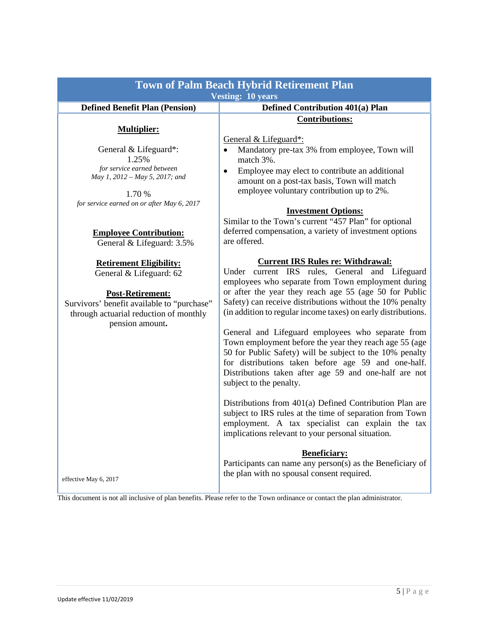|                                                                                                                                                                                                 | <b>Town of Palm Beach Hybrid Retirement Plan</b><br><b>Vesting: 10 years</b>                                                                                                                                                                                                                                                                                                                                                                                                                                        |  |  |
|-------------------------------------------------------------------------------------------------------------------------------------------------------------------------------------------------|---------------------------------------------------------------------------------------------------------------------------------------------------------------------------------------------------------------------------------------------------------------------------------------------------------------------------------------------------------------------------------------------------------------------------------------------------------------------------------------------------------------------|--|--|
| <b>Defined Benefit Plan (Pension)</b>                                                                                                                                                           | <b>Defined Contribution 401(a) Plan</b>                                                                                                                                                                                                                                                                                                                                                                                                                                                                             |  |  |
| <b>Multiplier:</b>                                                                                                                                                                              | <b>Contributions:</b>                                                                                                                                                                                                                                                                                                                                                                                                                                                                                               |  |  |
| General & Lifeguard*:<br>1.25%<br>for service earned between<br>May 1, 2012 - May 5, 2017; and<br>1.70 %<br>for service earned on or after May 6, 2017                                          | General & Lifeguard*:<br>Mandatory pre-tax 3% from employee, Town will<br>$\bullet$<br>match 3%.<br>Employee may elect to contribute an additional<br>$\bullet$<br>amount on a post-tax basis, Town will match<br>employee voluntary contribution up to 2%.<br><b>Investment Options:</b><br>Similar to the Town's current "457 Plan" for optional                                                                                                                                                                  |  |  |
| <b>Employee Contribution:</b><br>General & Lifeguard: 3.5%                                                                                                                                      | deferred compensation, a variety of investment options<br>are offered.                                                                                                                                                                                                                                                                                                                                                                                                                                              |  |  |
| <b>Retirement Eligibility:</b><br>General & Lifeguard: 62<br><b>Post-Retirement:</b><br>Survivors' benefit available to "purchase"<br>through actuarial reduction of monthly<br>pension amount. | <b>Current IRS Rules re: Withdrawal:</b><br>Under current IRS rules, General and Lifeguard<br>employees who separate from Town employment during<br>or after the year they reach age 55 (age 50 for Public<br>Safety) can receive distributions without the 10% penalty<br>(in addition to regular income taxes) on early distributions.<br>General and Lifeguard employees who separate from<br>Town employment before the year they reach age 55 (age<br>50 for Public Safety) will be subject to the 10% penalty |  |  |
| effective May 6, 2017                                                                                                                                                                           | for distributions taken before age 59 and one-half.<br>Distributions taken after age 59 and one-half are not<br>subject to the penalty.<br>Distributions from 401(a) Defined Contribution Plan are<br>subject to IRS rules at the time of separation from Town<br>employment. A tax specialist can explain the tax<br>implications relevant to your personal situation.<br><b>Beneficiary:</b><br>Participants can name any person(s) as the Beneficiary of<br>the plan with no spousal consent required.           |  |  |

This document is not all inclusive of plan benefits. Please refer to the Town ordinance or contact the plan administrator.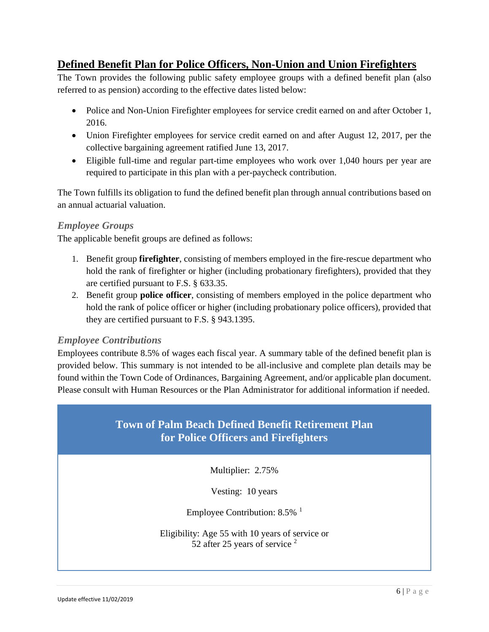# <span id="page-5-0"></span>**Defined Benefit Plan for Police Officers, Non-Union and Union Firefighters**

The Town provides the following public safety employee groups with a defined benefit plan (also referred to as pension) according to the effective dates listed below:

- Police and Non-Union Firefighter employees for service credit earned on and after October 1, 2016.
- Union Firefighter employees for service credit earned on and after August 12, 2017, per the collective bargaining agreement ratified June 13, 2017.
- Eligible full-time and regular part-time employees who work over 1,040 hours per year are required to participate in this plan with a per-paycheck contribution.

The Town fulfills its obligation to fund the defined benefit plan through annual contributions based on an annual actuarial valuation.

#### <span id="page-5-1"></span>*Employee Groups*

The applicable benefit groups are defined as follows:

- 1. Benefit group **firefighter**, consisting of members employed in the fire-rescue department who hold the rank of firefighter or higher (including probationary firefighters), provided that they are certified pursuant to F.S. § 633.35.
- 2. Benefit group **police officer**, consisting of members employed in the police department who hold the rank of police officer or higher (including probationary police officers), provided that they are certified pursuant to F.S. § 943.1395.

## <span id="page-5-2"></span>*Employee Contributions*

Employees contribute 8.5% of wages each fiscal year. A summary table of the defined benefit plan is provided below. This summary is not intended to be all-inclusive and complete plan details may be found within the Town Code of Ordinances, Bargaining Agreement, and/or applicable plan document. Please consult with Human Resources or the Plan Administrator for additional information if needed.

# **Town of Palm Beach Defined Benefit Retirement Plan for Police Officers and Firefighters**

Multiplier: 2.75%

Vesting: 10 years

Employee Contribution:  $8.5\%$ <sup>1</sup>

Eligibility: Age 55 with 10 years of service or 52 after 25 years of service <sup>2</sup>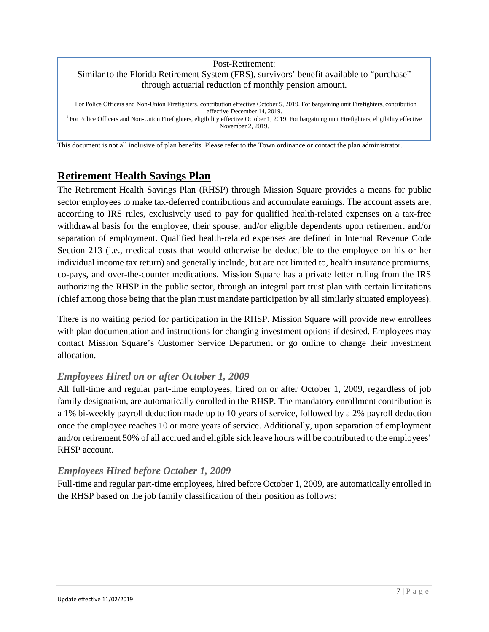#### Post-Retirement: Similar to the Florida Retirement System (FRS), survivors' benefit available to "purchase" through actuarial reduction of monthly pension amount.

<sup>1</sup> For Police Officers and Non-Union Firefighters, contribution effective October 5, 2019. For bargaining unit Firefighters, contribution effective December 14, 2019. <sup>2</sup> For Police Officers and Non-Union Firefighters, eligibility effective October 1, 2019. For bargaining unit Firefighters, eligibility effective November 2, 2019.

This document is not all inclusive of plan benefits. Please refer to the Town ordinance or contact the plan administrator.

# <span id="page-6-0"></span>**Retirement Health Savings Plan**

The Retirement Health Savings Plan (RHSP) through Mission Square provides a means for public sector employees to make tax-deferred contributions and accumulate earnings. The account assets are, according to IRS rules, exclusively used to pay for qualified health-related expenses on a tax-free withdrawal basis for the employee, their spouse, and/or eligible dependents upon retirement and/or separation of employment. Qualified health-related expenses are defined in Internal Revenue Code Section 213 (i.e., medical costs that would otherwise be deductible to the employee on his or her individual income tax return) and generally include, but are not limited to, health insurance premiums, co-pays, and over-the-counter medications. Mission Square has a private letter ruling from the IRS authorizing the RHSP in the public sector, through an integral part trust plan with certain limitations (chief among those being that the plan must mandate participation by all similarly situated employees).

There is no waiting period for participation in the RHSP. Mission Square will provide new enrollees with plan documentation and instructions for changing investment options if desired. Employees may contact Mission Square's Customer Service Department or go online to change their investment allocation.

#### <span id="page-6-1"></span>*Employees Hired on or after October 1, 2009*

All full-time and regular part-time employees, hired on or after October 1, 2009, regardless of job family designation, are automatically enrolled in the RHSP. The mandatory enrollment contribution is a 1% bi-weekly payroll deduction made up to 10 years of service, followed by a 2% payroll deduction once the employee reaches 10 or more years of service. Additionally, upon separation of employment and/or retirement 50% of all accrued and eligible sick leave hours will be contributed to the employees' RHSP account.

## <span id="page-6-2"></span>*Employees Hired before October 1, 2009*

<span id="page-6-3"></span>Full-time and regular part-time employees, hired before October 1, 2009, are automatically enrolled in the RHSP based on the job family classification of their position as follows: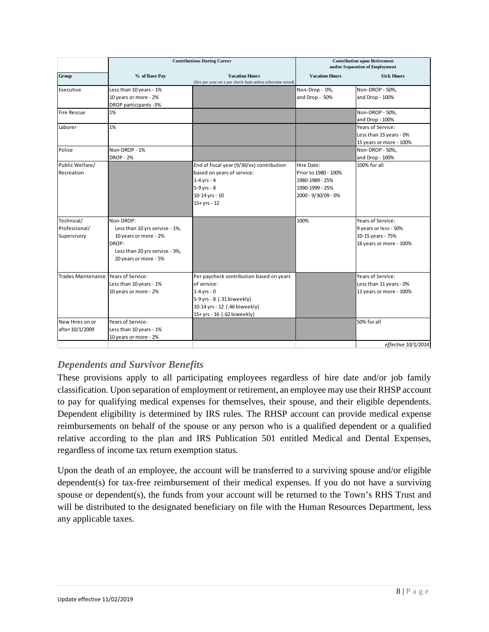|                                                                                                                                          |                                                                                                                                                                        | <b>Contribution upon Retirement</b><br>and/or Separation of Employment                          |                                                                                            |
|------------------------------------------------------------------------------------------------------------------------------------------|------------------------------------------------------------------------------------------------------------------------------------------------------------------------|-------------------------------------------------------------------------------------------------|--------------------------------------------------------------------------------------------|
| % of Base Pay                                                                                                                            | <b>Vacation Hours</b><br>(Hrs per year on a per check basis unless otherwise noted)                                                                                    | <b>Vacation Hours</b>                                                                           | <b>Sick Hours</b>                                                                          |
| Less than 10 years - 1%<br>10 years or more - 2%                                                                                         |                                                                                                                                                                        | Non-Drop - 0%,<br>and Drop - 50%                                                                | Non-DROP - 50%,<br>and Drop - 100%                                                         |
| 1%                                                                                                                                       |                                                                                                                                                                        |                                                                                                 | Non-DROP - 50%,<br>and Drop - 100%                                                         |
| 1%                                                                                                                                       |                                                                                                                                                                        |                                                                                                 | Years of Service:<br>Less than 15 years - 0%<br>15 years or more - 100%                    |
| Non-DROP - 1%<br><b>DROP - 2%</b>                                                                                                        |                                                                                                                                                                        |                                                                                                 | Non-DROP - 50%,<br>and Drop - 100%                                                         |
|                                                                                                                                          | End of fiscal year (9/30/xx) contribution<br>based on years of service:<br>$1-4$ yrs - 4<br>5-9 yrs - 8<br>10-14 yrs - 10<br>$15 + yrs - 12$                           | Hire Date:<br>Prior to 1980 - 100%<br>1980-1989 - 25%<br>1990-1999 - 25%<br>2000 - 9/30/09 - 0% | 100% for all                                                                               |
| Non-DROP:<br>Less than 10 yrs service - 1%,<br>10 years or more - 2%<br>DROP:<br>Less than 20 yrs service - 3%,<br>20 years or more - 5% |                                                                                                                                                                        | 100%                                                                                            | Years of Service:<br>9 years or less - 50%<br>10-15 years - 75%<br>16 years or more - 100% |
| Trades Maintenance Years of Service:<br>Less than 10 years - 1%<br>10 years or more - 2%                                                 | Per paycheck contribution based on years<br>of service:<br>$1-4$ yrs - 0<br>5-9 yrs - 8 (.31 biweekly)<br>10-14 yrs - 12 (.46 biweekly)<br>15+ yrs - 16 (.62 biweekly) |                                                                                                 | Years of Service:<br>Less than 11 years - 0%<br>11 years or more - 100%                    |
| Years of Service:<br>Less than 10 years - 1%<br>10 years or more - 2%                                                                    |                                                                                                                                                                        |                                                                                                 | 50% for all<br>effective 10/1/2014                                                         |
|                                                                                                                                          | DROP participants - 3%                                                                                                                                                 |                                                                                                 |                                                                                            |

# *Dependents and Survivor Benefits*

These provisions apply to all participating employees regardless of hire date and/or job family classification. Upon separation of employment or retirement, an employee may use their RHSP account to pay for qualifying medical expenses for themselves, their spouse, and their eligible dependents. Dependent eligibility is determined by IRS rules. The RHSP account can provide medical expense reimbursements on behalf of the spouse or any person who is a qualified dependent or a qualified relative according to the plan and IRS Publication 501 entitled Medical and Dental Expenses, regardless of income tax return exemption status.

Upon the death of an employee, the account will be transferred to a surviving spouse and/or eligible dependent(s) for tax-free reimbursement of their medical expenses. If you do not have a surviving spouse or dependent(s), the funds from your account will be returned to the Town's RHS Trust and will be distributed to the designated beneficiary on file with the Human Resources Department, less any applicable taxes.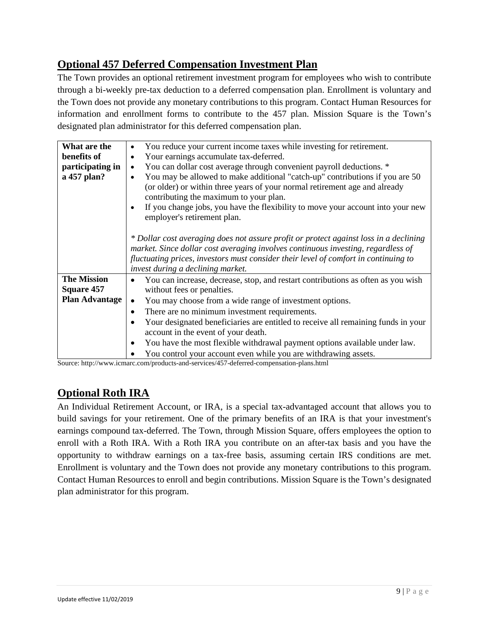# <span id="page-8-0"></span>**Optional 457 Deferred Compensation Investment Plan**

The Town provides an optional retirement investment program for employees who wish to contribute through a bi-weekly pre-tax deduction to a deferred compensation plan. Enrollment is voluntary and the Town does not provide any monetary contributions to this program. Contact Human Resources for information and enrollment forms to contribute to the 457 plan. Mission Square is the Town's designated plan administrator for this deferred compensation plan.

| What are the          | You reduce your current income taxes while investing for retirement.                                                                                                                                                                                                                                                   |  |
|-----------------------|------------------------------------------------------------------------------------------------------------------------------------------------------------------------------------------------------------------------------------------------------------------------------------------------------------------------|--|
| benefits of           | Your earnings accumulate tax-deferred.<br>$\bullet$                                                                                                                                                                                                                                                                    |  |
| participating in      | You can dollar cost average through convenient payroll deductions. *<br>$\bullet$                                                                                                                                                                                                                                      |  |
| a 457 plan?           | You may be allowed to make additional "catch-up" contributions if you are 50<br>(or older) or within three years of your normal retirement age and already<br>contributing the maximum to your plan.<br>If you change jobs, you have the flexibility to move your account into your new<br>employer's retirement plan. |  |
|                       | * Dollar cost averaging does not assure profit or protect against loss in a declining<br>market. Since dollar cost averaging involves continuous investing, regardless of<br>fluctuating prices, investors must consider their level of comfort in continuing to<br>invest during a declining market.                  |  |
| <b>The Mission</b>    | You can increase, decrease, stop, and restart contributions as often as you wish<br>٠                                                                                                                                                                                                                                  |  |
| <b>Square 457</b>     | without fees or penalties.                                                                                                                                                                                                                                                                                             |  |
| <b>Plan Advantage</b> | You may choose from a wide range of investment options.                                                                                                                                                                                                                                                                |  |
|                       | There are no minimum investment requirements.<br>٠                                                                                                                                                                                                                                                                     |  |
|                       | Your designated beneficiaries are entitled to receive all remaining funds in your                                                                                                                                                                                                                                      |  |
|                       | account in the event of your death.                                                                                                                                                                                                                                                                                    |  |
|                       | You have the most flexible withdrawal payment options available under law.                                                                                                                                                                                                                                             |  |
|                       | You control your account even while you are withdrawing assets.                                                                                                                                                                                                                                                        |  |

Source: http://www.icmarc.com/products-and-services/457-deferred-compensation-plans.html

# <span id="page-8-1"></span>**Optional Roth IRA**

An Individual Retirement Account, or IRA, is a special tax-advantaged account that allows you to build savings for your retirement. One of the primary benefits of an IRA is that your investment's earnings compound tax-deferred. The Town, through Mission Square, offers employees the option to enroll with a Roth IRA. With a Roth IRA you contribute on an after-tax basis and you have the opportunity to withdraw earnings on a tax-free basis, assuming certain IRS conditions are met. Enrollment is voluntary and the Town does not provide any monetary contributions to this program. Contact Human Resources to enroll and begin contributions. Mission Square is the Town's designated plan administrator for this program.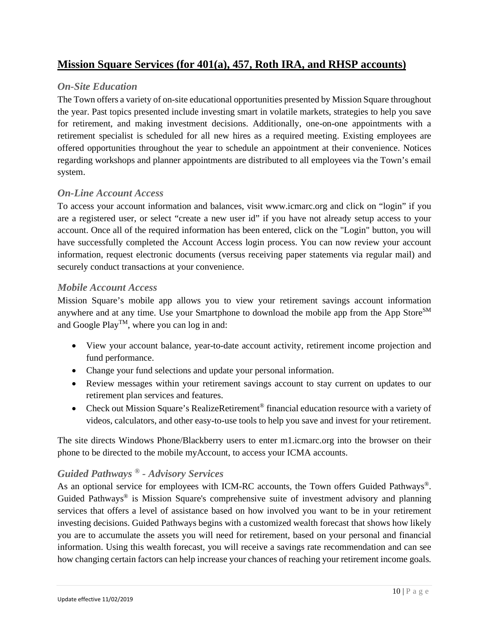# <span id="page-9-0"></span>**Mission Square Services (for 401(a), 457, Roth IRA, and RHSP accounts)**

## <span id="page-9-1"></span>*On-Site Education*

The Town offers a variety of on-site educational opportunities presented by Mission Square throughout the year. Past topics presented include investing smart in volatile markets, strategies to help you save for retirement, and making investment decisions. Additionally, one-on-one appointments with a retirement specialist is scheduled for all new hires as a required meeting. Existing employees are offered opportunities throughout the year to schedule an appointment at their convenience. Notices regarding workshops and planner appointments are distributed to all employees via the Town's email system.

## <span id="page-9-2"></span>*On-Line Account Access*

To access your account information and balances, visit www.icmarc.org and click on "login" if you are a registered user, or select "create a new user id" if you have not already setup access to your account. Once all of the required information has been entered, click on the "Login" button, you will have successfully completed the Account Access login process. You can now review your account information, request electronic documents (versus receiving paper statements via regular mail) and securely conduct transactions at your convenience.

#### <span id="page-9-3"></span>*Mobile Account Access*

Mission Square's mobile app allows you to view your retirement savings account information anywhere and at any time. Use your Smartphone to download the mobile app from the App Store<sup>SM</sup> and Google Play<sup>TM</sup>, where you can log in and:

- View your account balance, year-to-date account activity, retirement income projection and fund performance.
- Change your fund selections and update your personal information.
- Review messages within your retirement savings account to stay current on updates to our retirement plan services and features.
- Check out Mission Square's RealizeRetirement<sup>®</sup> financial education resource with a variety of videos, calculators, and other easy-to-use tools to help you save and invest for your retirement.

The site directs Windows Phone/Blackberry users to enter m1.icmarc.org into the browser on their phone to be directed to the mobile myAccount, to access your ICMA accounts.

## <span id="page-9-4"></span>*Guided Pathways ® - Advisory Services*

As an optional service for employees with ICM-RC accounts, the Town offers Guided Pathways®. Guided Pathways<sup>®</sup> is Mission Square's comprehensive suite of investment advisory and planning services that offers a level of assistance based on how involved you want to be in your retirement investing decisions. Guided Pathways begins with a customized wealth forecast that shows how likely you are to accumulate the assets you will need for retirement, based on your personal and financial information. Using this wealth forecast, you will receive a savings rate recommendation and can see how changing certain factors can help increase your chances of reaching your retirement income goals.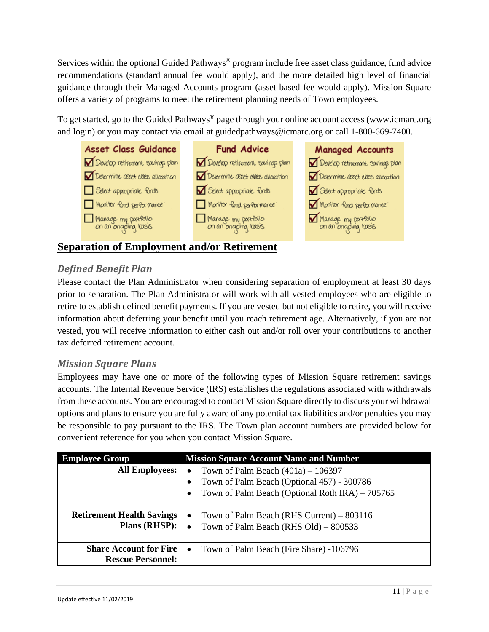Services within the optional Guided Pathways<sup>®</sup> program include free asset class guidance, fund advice recommendations (standard annual fee would apply), and the more detailed high level of financial guidance through their Managed Accounts program (asset-based fee would apply). Mission Square offers a variety of programs to meet the retirement planning needs of Town employees.

To get started, go to the Guided Pathways<sup>®</sup> page through your online account access (www.icmarc.org and login) or you may contact via email at guidedpathways@icmarc.org or call 1-800-669-7400.



# <span id="page-10-0"></span>**Separation of Employment and/or Retirement**

# <span id="page-10-1"></span>*Defined Benefit Plan*

Please contact the Plan Administrator when considering separation of employment at least 30 days prior to separation. The Plan Administrator will work with all vested employees who are eligible to retire to establish defined benefit payments. If you are vested but not eligible to retire, you will receive information about deferring your benefit until you reach retirement age. Alternatively, if you are not vested, you will receive information to either cash out and/or roll over your contributions to another tax deferred retirement account.

## <span id="page-10-2"></span>*Mission Square Plans*

Employees may have one or more of the following types of Mission Square retirement savings accounts. The Internal Revenue Service (IRS) establishes the regulations associated with withdrawals from these accounts. You are encouraged to contact Mission Square directly to discuss your withdrawal options and plans to ensure you are fully aware of any potential tax liabilities and/or penalties you may be responsible to pay pursuant to the IRS. The Town plan account numbers are provided below for convenient reference for you when you contact Mission Square.

| <b>Employee Group</b>                                     | <b>Mission Square Account Name and Number</b>                                                                |
|-----------------------------------------------------------|--------------------------------------------------------------------------------------------------------------|
| <b>All Employees:</b>                                     | Town of Palm Beach $(401a) - 106397$<br>$\bullet$<br>Town of Palm Beach (Optional 457) - 300786<br>$\bullet$ |
|                                                           | Town of Palm Beach (Optional Roth IRA) – 705765<br>$\bullet$                                                 |
| <b>Retirement Health Savings</b><br><b>Plans (RHSP):</b>  | Town of Palm Beach (RHS Current) – 803116<br>$\bullet$<br>• Town of Palm Beach (RHS Old) $- 800533$          |
| <b>Share Account for Fire</b><br><b>Rescue Personnel:</b> | Town of Palm Beach (Fire Share) -106796<br>$\bullet$                                                         |